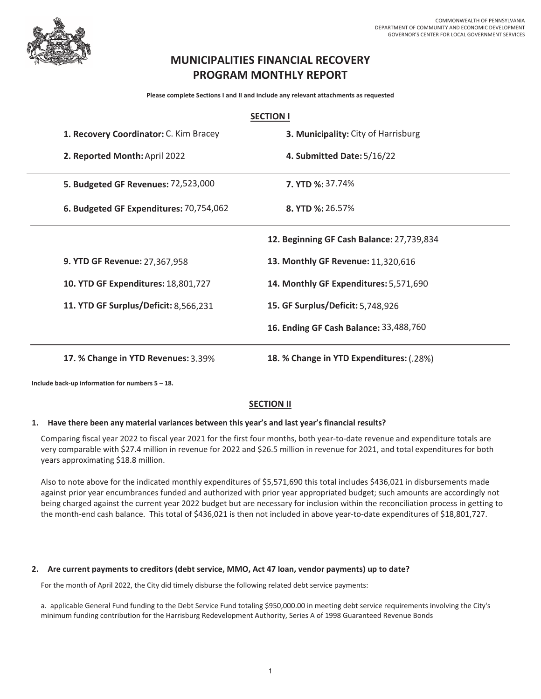

# **MUNICIPALITIES FINANCIAL RECOVERY PROGRAM MONTHLY REPORT**

**Please complete Sections I and II and include any relevant attachments as requested**

|                                         | <b>SECTION I</b>                          |  |  |  |  |  |  |
|-----------------------------------------|-------------------------------------------|--|--|--|--|--|--|
| 1. Recovery Coordinator: C. Kim Bracey  | 3. Municipality: City of Harrisburg       |  |  |  |  |  |  |
| 2. Reported Month: April 2022           | 4. Submitted Date: 5/16/22                |  |  |  |  |  |  |
| 5. Budgeted GF Revenues: 72,523,000     | <b>7. YTD %: 37.74%</b>                   |  |  |  |  |  |  |
| 6. Budgeted GF Expenditures: 70,754,062 | 8. YTD %: 26.57%                          |  |  |  |  |  |  |
|                                         | 12. Beginning GF Cash Balance: 27,739,834 |  |  |  |  |  |  |
| 9. YTD GF Revenue: 27,367,958           | 13. Monthly GF Revenue: 11,320,616        |  |  |  |  |  |  |
| 10. YTD GF Expenditures: 18,801,727     | 14. Monthly GF Expenditures: 5,571,690    |  |  |  |  |  |  |
| 11. YTD GF Surplus/Deficit: 8,566,231   | 15. GF Surplus/Deficit: 5,748,926         |  |  |  |  |  |  |
|                                         | 16. Ending GF Cash Balance: 33,488,760    |  |  |  |  |  |  |
| 17. % Change in YTD Revenues: 3.39%     | 18. % Change in YTD Expenditures: (.28%)  |  |  |  |  |  |  |

**Include back-up information for numbers 5 – 18.** 

## **SECTION II**

## **1. Have there been any material variances between this year's and last year's financial results?**

Comparing fiscal year 2022 to fiscal year 2021 for the first four months, both year-to-date revenue and expenditure totals are very comparable with \$27.4 million in revenue for 2022 and \$26.5 million in revenue for 2021, and total expenditures for both years approximating \$18.8 million.

Also to note above for the indicated monthly expenditures of \$5,571,690 this total includes \$436,021 in disbursements made against prior year encumbrances funded and authorized with prior year appropriated budget; such amounts are accordingly not being charged against the current year 2022 budget but are necessary for inclusion within the reconciliation process in getting to the month-end cash balance. This total of \$436,021 is then not included in above year-to-date expenditures of \$18,801,727.

## **2. Are current payments to creditors (debt service, MMO, Act 47 loan, vendor payments) up to date?**

For the month of April 2022, the City did timely disburse the following related debt service payments:

a. applicable General Fund funding to the Debt Service Fund totaling \$950,000.00 in meeting debt service requirements involving the City's minimum funding contribution for the Harrisburg Redevelopment Authority, Series A of 1998 Guaranteed Revenue Bonds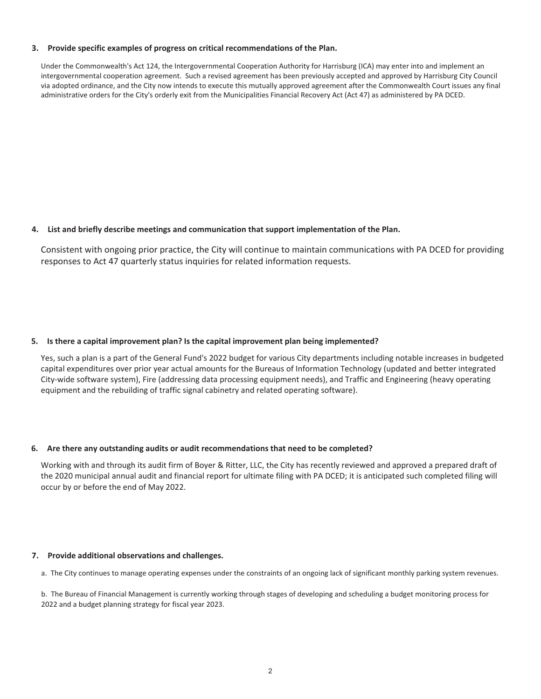#### **3. Provide specific examples of progress on critical recommendations of the Plan.**

Under the Commonwealth's Act 124, the Intergovernmental Cooperation Authority for Harrisburg (ICA) may enter into and implement an intergovernmental cooperation agreement. Such a revised agreement has been previously accepted and approved by Harrisburg City Council via adopted ordinance, and the City now intends to execute this mutually approved agreement after the Commonwealth Court issues any final administrative orders for the City's orderly exit from the Municipalities Financial Recovery Act (Act 47) as administered by PA DCED.

### **4. List and briefly describe meetings and communication that support implementation of the Plan.**

Consistent with ongoing prior practice, the City will continue to maintain communications with PA DCED for providing responses to Act 47 quarterly status inquiries for related information requests.

### **5. Is there a capital improvement plan? Is the capital improvement plan being implemented?**

Yes, such a plan is a part of the General Fund's 2022 budget for various City departments including notable increases in budgeted capital expenditures over prior year actual amounts for the Bureaus of Information Technology (updated and better integrated City-wide software system), Fire (addressing data processing equipment needs), and Traffic and Engineering (heavy operating equipment and the rebuilding of traffic signal cabinetry and related operating software).

## **6. Are there any outstanding audits or audit recommendations that need to be completed?**

Working with and through its audit firm of Boyer & Ritter, LLC, the City has recently reviewed and approved a prepared draft of the 2020 municipal annual audit and financial report for ultimate filing with PA DCED; it is anticipated such completed filing will occur by or before the end of May 2022.

#### **7. Provide additional observations and challenges.**

a. The City continues to manage operating expenses under the constraints of an ongoing lack of significant monthly parking system revenues.

b. The Bureau of Financial Management is currently working through stages of developing and scheduling a budget monitoring process for 2022 and a budget planning strategy for fiscal year 2023.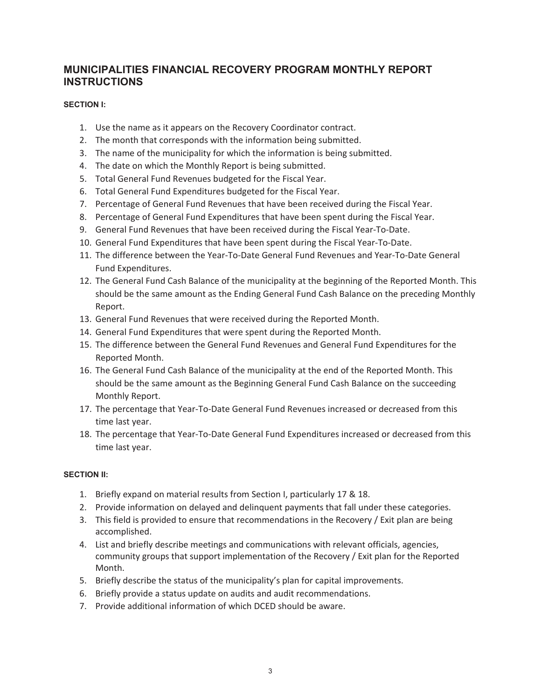# **MUNICIPALITIES FINANCIAL RECOVERY PROGRAM MONTHLY REPORT INSTRUCTIONS**

# **SECTION I:**

- 1. Use the name as it appears on the Recovery Coordinator contract.
- 2. The month that corresponds with the information being submitted.
- 3. The name of the municipality for which the information is being submitted.
- 4. The date on which the Monthly Report is being submitted.
- 5. Total General Fund Revenues budgeted for the Fiscal Year.
- 6. Total General Fund Expenditures budgeted for the Fiscal Year.
- 7. Percentage of General Fund Revenues that have been received during the Fiscal Year.
- 8. Percentage of General Fund Expenditures that have been spent during the Fiscal Year.
- 9. General Fund Revenues that have been received during the Fiscal Year-To-Date.
- 10. General Fund Expenditures that have been spent during the Fiscal Year-To-Date.
- 11. The difference between the Year-To-Date General Fund Revenues and Year-To-Date General Fund Expenditures.
- 12. The General Fund Cash Balance of the municipality at the beginning of the Reported Month. This should be the same amount as the Ending General Fund Cash Balance on the preceding Monthly Report.
- 13. General Fund Revenues that were received during the Reported Month.
- 14. General Fund Expenditures that were spent during the Reported Month.
- 15. The difference between the General Fund Revenues and General Fund Expenditures for the Reported Month.
- 16. The General Fund Cash Balance of the municipality at the end of the Reported Month. This should be the same amount as the Beginning General Fund Cash Balance on the succeeding Monthly Report.
- 17. The percentage that Year-To-Date General Fund Revenues increased or decreased from this time last year.
- 18. The percentage that Year-To-Date General Fund Expenditures increased or decreased from this time last year.

## **SECTION II:**

- 1. Briefly expand on material results from Section I, particularly 17 & 18.
- 2. Provide information on delayed and delinguent payments that fall under these categories.
- 3. This field is provided to ensure that recommendations in the Recovery / Exit plan are being accomplished.
- 4. List and briefly describe meetings and communications with relevant officials, agencies, community groups that support implementation of the Recovery / Exit plan for the Reported Month.
- 5. Briefly describe the status of the municipality's plan for capital improvements.
- 6. Briefly provide a status update on audits and audit recommendations.
- 7. Provide additional information of which DCED should be aware.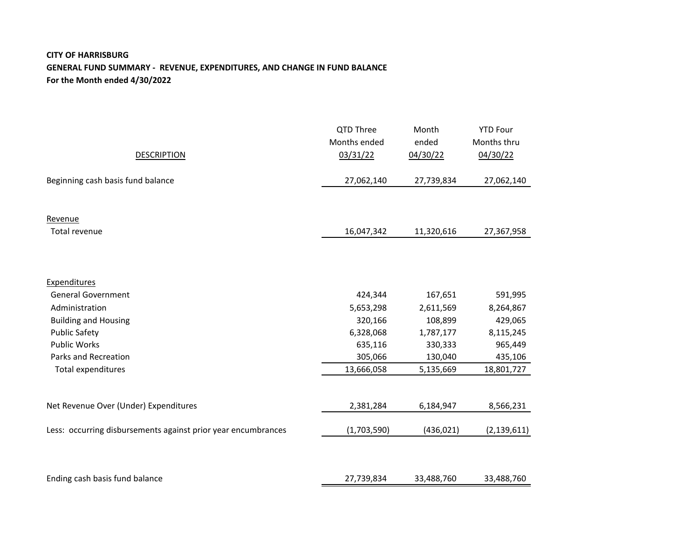# **CITY OF HARRISBURG GENERAL FUND SUMMARY - REVENUE, EXPENDITURES, AND CHANGE IN FUND BALANCE For the Month ended 4/30/2022**

| <b>DESCRIPTION</b>                                            | QTD Three<br>Months ended<br>03/31/22 | Month<br>ended<br>04/30/22 | <b>YTD Four</b><br>Months thru<br>04/30/22 |
|---------------------------------------------------------------|---------------------------------------|----------------------------|--------------------------------------------|
| Beginning cash basis fund balance                             | 27,062,140                            | 27,739,834                 | 27,062,140                                 |
|                                                               |                                       |                            |                                            |
| Revenue                                                       |                                       |                            |                                            |
| Total revenue                                                 | 16,047,342                            | 11,320,616                 | 27,367,958                                 |
|                                                               |                                       |                            |                                            |
| Expenditures                                                  |                                       |                            |                                            |
| <b>General Government</b>                                     | 424,344                               | 167,651                    | 591,995                                    |
| Administration                                                | 5,653,298                             | 2,611,569                  | 8,264,867                                  |
| <b>Building and Housing</b>                                   | 320,166                               | 108,899                    | 429,065                                    |
| <b>Public Safety</b>                                          | 6,328,068                             | 1,787,177                  | 8,115,245                                  |
| <b>Public Works</b>                                           | 635,116                               | 330,333                    | 965,449                                    |
| Parks and Recreation                                          | 305,066                               | 130,040                    | 435,106                                    |
| Total expenditures                                            | 13,666,058                            | 5,135,669                  | 18,801,727                                 |
| Net Revenue Over (Under) Expenditures                         | 2,381,284                             | 6,184,947                  | 8,566,231                                  |
| Less: occurring disbursements against prior year encumbrances | (1,703,590)                           | (436, 021)                 | (2, 139, 611)                              |
|                                                               |                                       |                            |                                            |
| Ending cash basis fund balance                                | 27,739,834                            | 33,488,760                 | 33,488,760                                 |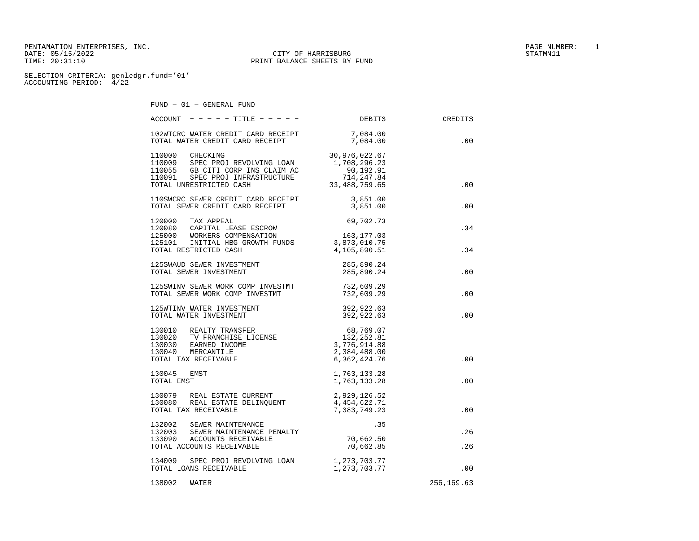PENTAMATION ENTERPRISES, INC. PAGE NUMBER: 1 DATE: 05/15/2022 CITY OF HARRISBURG TIME: 20:31:10 TIME: 20:31:10 PRINT BALANCE SHEETS BY FUND

FUND − 01 − GENERAL FUND

| CREDITS    | <b>DEBITS</b>            | $\texttt{ACCOUNT}$ - - - - - TITLE - - - - -                                                                                                                                                                                                                                                                                                                                                    |
|------------|--------------------------|-------------------------------------------------------------------------------------------------------------------------------------------------------------------------------------------------------------------------------------------------------------------------------------------------------------------------------------------------------------------------------------------------|
|            |                          |                                                                                                                                                                                                                                                                                                                                                                                                 |
|            |                          |                                                                                                                                                                                                                                                                                                                                                                                                 |
| $.00 \,$   |                          | 102WTCRC WATER CREDIT CARD RECEIPT 7,084.00<br>TOTAL WATER CREDIT CARD RECEIPT 7,084.00                                                                                                                                                                                                                                                                                                         |
|            |                          |                                                                                                                                                                                                                                                                                                                                                                                                 |
|            |                          |                                                                                                                                                                                                                                                                                                                                                                                                 |
|            |                          |                                                                                                                                                                                                                                                                                                                                                                                                 |
|            |                          |                                                                                                                                                                                                                                                                                                                                                                                                 |
|            |                          |                                                                                                                                                                                                                                                                                                                                                                                                 |
| .00        |                          |                                                                                                                                                                                                                                                                                                                                                                                                 |
|            |                          |                                                                                                                                                                                                                                                                                                                                                                                                 |
|            |                          | 110SWCRC SEWER CREDIT CARD RECEIPT 3,851.00<br>TOTAL SEWER CREDIT CARD RECEIPT 3,851.00                                                                                                                                                                                                                                                                                                         |
| .00        |                          |                                                                                                                                                                                                                                                                                                                                                                                                 |
|            |                          |                                                                                                                                                                                                                                                                                                                                                                                                 |
|            | 69,702.73                | 120000 TAX APPEAL                                                                                                                                                                                                                                                                                                                                                                               |
| .34        |                          | 120080 CAPITAL LEASE ESCROW                                                                                                                                                                                                                                                                                                                                                                     |
|            |                          |                                                                                                                                                                                                                                                                                                                                                                                                 |
|            |                          |                                                                                                                                                                                                                                                                                                                                                                                                 |
|            |                          |                                                                                                                                                                                                                                                                                                                                                                                                 |
| .34        |                          |                                                                                                                                                                                                                                                                                                                                                                                                 |
|            |                          | 120000 CAPITAL LEASE ESCROW<br>125000 WORKERS COMPENSATION<br>125101 INITIAL HBG GROWTH FUNDS<br>TOTAL RESTRICTED CASH<br>4,105,890.51                                                                                                                                                                                                                                                          |
|            | 285,890.24<br>285,890.24 | 125SWAUD SEWER INVESTMENT                                                                                                                                                                                                                                                                                                                                                                       |
| .00        |                          | TOTAL SEWER INVESTMENT                                                                                                                                                                                                                                                                                                                                                                          |
|            |                          |                                                                                                                                                                                                                                                                                                                                                                                                 |
|            |                          | 125SWINV SEWER WORK COMP INVESTMT 732,609.29<br>TOTAL SEWER WORK COMP INVESTMT 732,609.29                                                                                                                                                                                                                                                                                                       |
| .00        |                          |                                                                                                                                                                                                                                                                                                                                                                                                 |
|            |                          |                                                                                                                                                                                                                                                                                                                                                                                                 |
|            |                          | ${\small \begin{tabular}{lcccc} \bf 125WTINV \hspace{0.05in}WATER \hspace{0.05in} \textsc{INVESTMENT} \hspace{0.05in} & \hspace{0.05in} & \hspace{0.05in} & \hspace{0.05in} & \hspace{0.05in} & \hspace{0.05in} & \hspace{0.05in} & \hspace{0.05in} & \hspace{0.05in} & \hspace{0.05in} & \hspace{0.05in} & \hspace{0.05in} & \hspace{0.05in} & \hspace{0.05in} & \hspace{0.05in} & \hspace{0.$ |
| .00        |                          |                                                                                                                                                                                                                                                                                                                                                                                                 |
|            |                          |                                                                                                                                                                                                                                                                                                                                                                                                 |
|            |                          |                                                                                                                                                                                                                                                                                                                                                                                                 |
|            |                          |                                                                                                                                                                                                                                                                                                                                                                                                 |
|            |                          |                                                                                                                                                                                                                                                                                                                                                                                                 |
|            |                          |                                                                                                                                                                                                                                                                                                                                                                                                 |
|            |                          |                                                                                                                                                                                                                                                                                                                                                                                                 |
| .00        |                          |                                                                                                                                                                                                                                                                                                                                                                                                 |
|            |                          |                                                                                                                                                                                                                                                                                                                                                                                                 |
|            | 1,763,133.28             | 130045 EMST                                                                                                                                                                                                                                                                                                                                                                                     |
| .00        | 1,763,133.28             | TOTAL EMST                                                                                                                                                                                                                                                                                                                                                                                      |
|            |                          |                                                                                                                                                                                                                                                                                                                                                                                                 |
|            |                          |                                                                                                                                                                                                                                                                                                                                                                                                 |
|            |                          |                                                                                                                                                                                                                                                                                                                                                                                                 |
|            |                          |                                                                                                                                                                                                                                                                                                                                                                                                 |
| .00        | 7,383,749.23             | TOTAL TAX RECEIVABLE                                                                                                                                                                                                                                                                                                                                                                            |
|            |                          | 132002 SEWER MAINTENANCE<br>132002 SEWER MAINTENANCE<br>132003 SEWER MAINTENANCE PENALTY<br>133090 ACCOUNTS RECEIVABLE 70,662.50<br>70,662.85                                                                                                                                                                                                                                                   |
| .26        |                          |                                                                                                                                                                                                                                                                                                                                                                                                 |
|            |                          |                                                                                                                                                                                                                                                                                                                                                                                                 |
|            |                          |                                                                                                                                                                                                                                                                                                                                                                                                 |
| .26        |                          |                                                                                                                                                                                                                                                                                                                                                                                                 |
|            |                          |                                                                                                                                                                                                                                                                                                                                                                                                 |
|            |                          | 134009 SPEC PROJ REVOLVING LOAN 1,273,703.77<br>TOTAL LOANS RECEIVABLE 1,273,703.77                                                                                                                                                                                                                                                                                                             |
| .00        |                          |                                                                                                                                                                                                                                                                                                                                                                                                 |
|            |                          |                                                                                                                                                                                                                                                                                                                                                                                                 |
| 256,169.63 |                          | 138002<br>WATER                                                                                                                                                                                                                                                                                                                                                                                 |
|            |                          |                                                                                                                                                                                                                                                                                                                                                                                                 |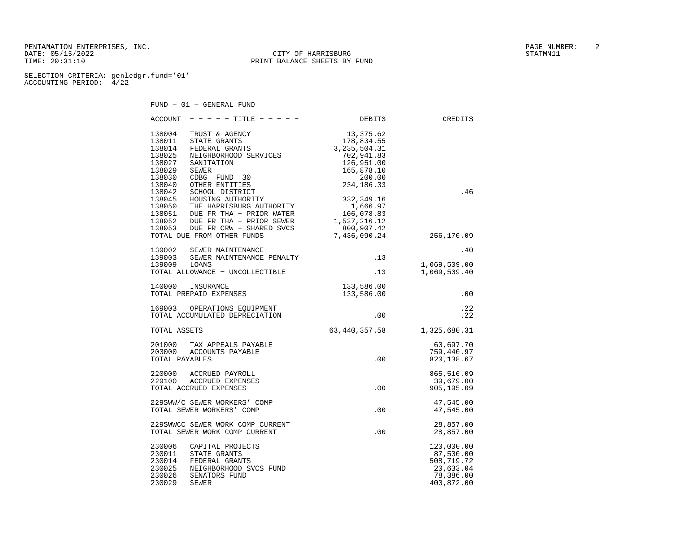PENTAMATION ENTERPRISES, INC.  $\qquad \qquad$  2 DATE: 05/15/2022 CITY OF HARRISBURG STATMNI11 TIME: 20:31:10 PRINT BALANCE SHEETS BY FUND

SELECTION CRITERIA: genledgr.fund='01' ACCOUNTING PERIOD: 4/22

FUND − 01 − GENERAL FUND

 ACCOUNT − − − − − TITLE − − − − − DEBITS CREDITS 138004 TRUST & AGENCY 13,375.62 138011 STATE GRANTS 178,834.55 138014 FEDERAL GRANTS 3,235,504.31 138025 NEIGHBORHOOD SERVICES 702,941.83 138027 SANITATION 126,951.00 138029 SEWER 165,878.10 138030 CDBG FUND 30 200.00 138040 OTHER ENTITIES 234,186.33 138042 SCHOOL DISTRICT .46 138045 HOUSING AUTHORITY 332,349.16 138050 THE HARRISBURG AUTHORITY 1,666.97 138051 DUE FR THA − PRIOR WATER 106,078.83 138052 DUE FR THA − PRIOR SEWER 1,537,216.12 138053 DUE FR CRW − SHARED SVCS 800,907.42 TOTAL DUE FROM OTHER FUNDS 7,436,090.24 256,170.09 139002 SEWER MAINTENANCE .40139003 SEWER MAINTENANCE PENALTY 139003 139009 LOANS 1,069,509.00 TOTAL ALLOWANCE − UNCOLLECTIBLE .13 1,069,509.40 140000 INSURANCE 133,586.00 TOTAL PREPAID EXPENSES 133,586.00 .00 169003 OPERATIONS EQUIPMENT **.22**<br>TOTAL ACCUMULATED DEPRECIATION **.22** .00 .22 TOTAL ACCUMULATED DEPRECIATION  $.22$  TOTAL ASSETS 63,440,357.58 1,325,680.31 201000 TAX APPEALS PAYABLE 60,697.70 203000 ACCOUNTS PAYABLE 759,440.97 TOTAL PAYABLES  $\begin{array}{cccccccc} 220000 & \text{ACCRUED PAYROLL} & & & & & 865,516.09 \\ 229100 & \text{ACCRUED EXPENSES} & & & & & & & 39,679.00 \\ \text{TOTAL AACTIIED EXPENSES} & & & & & & & 00 & 905,195.09 \end{array}$  229100 ACCRUED EXPENSES 39,679.00 TOTAL ACCRUED EXPENSES 229SWW/C SEWER WORKERS' COMP 47,545.00 TOTAL SEWER WORKERS' COMP .00 47,545.00 %%%29SWWCC SEWER WORK COMP CURRENT 28,857.00 28,857.00 28,857.00 28,857.00 TOTAL SEWER WORK COMP CURRENT  $.00$  230006 CAPITAL PROJECTS 120,000.00 230011 STATE GRANTS 87,500.00 230014 FEDERAL GRANTS 508,719.72 230025 NEIGHBORHOOD SVCS FUND 20,633.04<br>230026 SENATORS FUND 230026 230026 230026 230026 230026 SENATORS FUND 230029 SEWER 400,872.00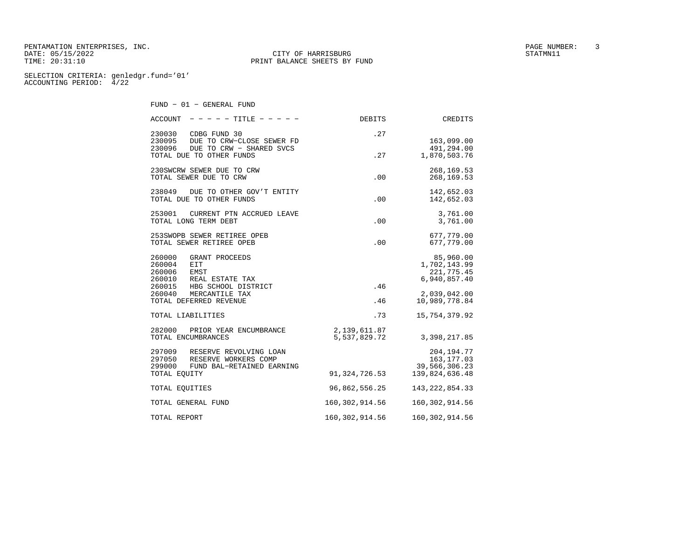PENTAMATION ENTERPRISES, INC. PAGE NUMBER: 3 DATE: 05/15/2022 CITY OF HARRISBURG TIME: 20:31:10 TIME: 20:31:10 PRINT BALANCE SHEETS BY FUND

SELECTION CRITERIA: genledgr.fund='01' ACCOUNTING PERIOD: 4/22

FUND − 01 − GENERAL FUND

| $\text{ACCOUNT}$ - - - - TITLE - - - -                                                              | DEBITS           | <b>CREDITS</b>                                          |
|-----------------------------------------------------------------------------------------------------|------------------|---------------------------------------------------------|
| 230030 CDBG FUND 30<br>230095 DUE TO CRW-CLOSE SEWER FD<br>DUE TO CRW - SHARED SVCS<br>230096       | .27              | 163,099.00<br>491,294.00                                |
| TOTAL DUE TO OTHER FUNDS                                                                            | .27              | 1,870,503.76                                            |
| 230SWCRW SEWER DUE TO CRW<br>TOTAL SEWER DUE TO CRW                                                 | .00              | 268, 169.53<br>268, 169.53                              |
| 238049<br>DUE TO OTHER GOV'T ENTITY<br>TOTAL DUE TO OTHER FUNDS                                     | .00              | 142,652.03<br>142,652.03                                |
| 253001<br>CURRENT PTN ACCRUED LEAVE<br>TOTAL LONG TERM DEBT                                         | .00              | 3,761.00<br>3,761.00                                    |
| 253SWOPB SEWER RETIREE OPEB<br>TOTAL SEWER RETIREE OPEB                                             | .00              | 677,779.00<br>677,779.00                                |
| 260000<br>GRANT PROCEEDS<br>260004<br>EIT<br>260006<br>EMST<br>260010<br>REAL ESTATE TAX            |                  | 85,960.00<br>1,702,143.99<br>221,775.45<br>6,940,857.40 |
| 260015 HBG SCHOOL DISTRICT<br>260040 MERCANTILE TAX<br>TOTAL DEFERRED REVENUE                       | .46<br>.46       | 2,039,042.00<br>10,989,778.84                           |
| TOTAL LIABILITIES                                                                                   | .73              | 15,754,379.92                                           |
| 282000<br>PRIOR YEAR ENCUMBRANCE<br>TOTAL ENCUMBRANCES                                              | 2,139,611.87     | 5,537,829.72 3,398,217.85                               |
| 297009 RESERVE REVOLVING LOAN<br>297050 RESERVE WORKERS COMP<br>299000<br>FUND BAL-RETAINED EARNING |                  | 204, 194. 77<br>163, 177.03<br>39,566,306.23            |
| TOTAL EQUITY                                                                                        | 91,324,726.53    | 139,824,636.48                                          |
| TOTAL EQUITIES                                                                                      | 96,862,556.25    | 143, 222, 854. 33                                       |
| TOTAL GENERAL FUND                                                                                  | 160,302,914.56   | 160, 302, 914.56                                        |
| TOTAL REPORT                                                                                        | 160, 302, 914.56 | 160, 302, 914.56                                        |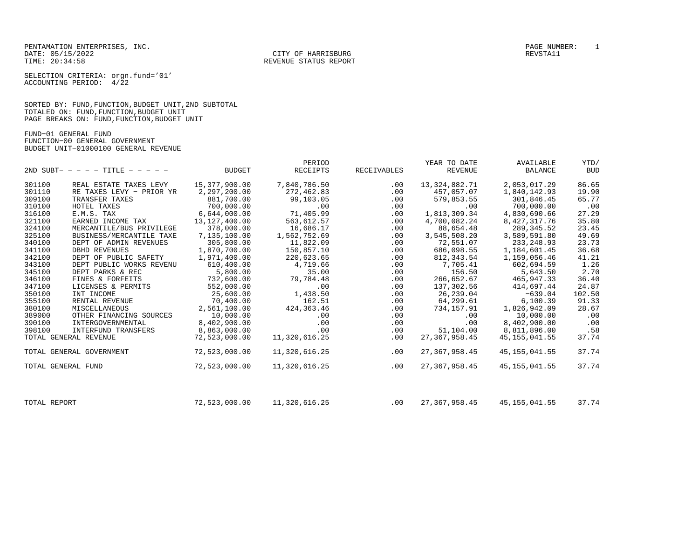CITY OF HARRISBURG

SELECTION CRITERIA: orgn.fund='01' ACCOUNTING PERIOD: 4/22

SORTED BY: FUND,FUNCTION,BUDGET UNIT,2ND SUBTOTAL TOTALED ON: FUND,FUNCTION,BUDGET UNIT PAGE BREAKS ON: FUND,FUNCTION,BUDGET UNIT

FUND−01 GENERAL FUND FUNCTION−00 GENERAL GOVERNMENT BUDGET UNIT−01000100 GENERAL REVENUE

|                    |                                   |                 | PERIOD          |             | YEAR TO DATE     | AVAILABLE       | YTD/       |
|--------------------|-----------------------------------|-----------------|-----------------|-------------|------------------|-----------------|------------|
|                    | 2ND SUBT- - - - - TITLE - - - - - | <b>BUDGET</b>   | <b>RECEIPTS</b> | RECEIVABLES | <b>REVENUE</b>   | <b>BALANCE</b>  | <b>BUD</b> |
| 301100             | REAL ESTATE TAXES LEVY            | 15,377,900.00   | 7,840,786.50    | $.00 \,$    | 13, 324, 882. 71 | 2,053,017.29    | 86.65      |
| 301110             | RE TAXES LEVY - PRIOR YR          | 2,297,200.00    | 272,462.83      | .00         | 457,057.07       | 1,840,142.93    | 19.90      |
| 309100             | TRANSFER TAXES                    | 881,700.00      | 99,103.05       | .00         | 579,853.55       | 301,846.45      | 65.77      |
| 310100             | HOTEL TAXES                       | 700,000.00      | .00             | .00         | .00              | 700,000.00      | .00        |
| 316100             | E.M.S. TAX                        | 6,644,000.00    | 71,405.99       | .00         | 1,813,309.34     | 4,830,690.66    | 27.29      |
| 321100             | EARNED INCOME TAX                 | 13, 127, 400.00 | 563,612.57      | .00         | 4,700,082.24     | 8,427,317.76    | 35.80      |
| 324100             | MERCANTILE/BUS PRIVILEGE          | 378,000.00      | 16,686.17       | .00         | 88,654.48        | 289, 345.52     | 23.45      |
| 325100             | BUSINESS/MERCANTILE TAXE          | 7,135,100.00    | 1,562,752.69    | .00         | 3,545,508.20     | 3,589,591.80    | 49.69      |
| 340100             | DEPT OF ADMIN REVENUES            | 305,800.00      | 11,822.09       | .00         | 72,551.07        | 233, 248.93     | 23.73      |
| 341100             | DBHD REVENUES                     | 1,870,700.00    | 150,857.10      | .00         | 686,098.55       | 1,184,601.45    | 36.68      |
| 342100             | DEPT OF PUBLIC SAFETY             | 1,971,400.00    | 220,623.65      | .00         | 812, 343.54      | 1,159,056.46    | 41.21      |
| 343100             | DEPT PUBLIC WORKS REVENU          | 610,400.00      | 4,719.66        | .00         | 7,705.41         | 602,694.59      | 1.26       |
| 345100             | DEPT PARKS & REC                  | 5,800.00        | 35.00           | .00         | 156.50           | 5,643.50        | 2.70       |
| 346100             | FINES & FORFEITS                  | 732,600.00      | 79,784.48       | .00         | 266,652.67       | 465, 947. 33    | 36.40      |
| 347100             | LICENSES & PERMITS                | 552,000.00      | .00             | .00         | 137,302.56       | 414,697.44      | 24.87      |
| 350100             | INT INCOME                        | 25,600.00       | 1,438.50        | .00         | 26,239.04        | $-639.04$       | 102.50     |
| 355100             | RENTAL REVENUE                    | 70,400.00       | 162.51          | .00         | 64,299.61        | 6, 100.39       | 91.33      |
| 380100             | MISCELLANEOUS                     | 2,561,100.00    | 424, 363. 46    | .00         | 734, 157.91      | 1,826,942.09    | 28.67      |
| 389000             | OTHER FINANCING SOURCES           | 10,000.00       | .00             | .00         | .00              | 10,000.00       | .00        |
| 390100             | INTERGOVERNMENTAL                 | 8,402,900.00    | .00             | .00         | .00              | 8,402,900.00    | .00        |
| 398100             | INTERFUND TRANSFERS               | 8,863,000.00    | .00             | .00         | 51,104.00        | 8,811,896.00    | .58        |
|                    | TOTAL GENERAL REVENUE             | 72,523,000.00   | 11,320,616.25   | .00         | 27, 367, 958, 45 | 45, 155, 041.55 | 37.74      |
|                    | TOTAL GENERAL GOVERNMENT          | 72,523,000.00   | 11,320,616.25   | .00         | 27, 367, 958.45  | 45, 155, 041.55 | 37.74      |
| TOTAL GENERAL FUND |                                   | 72,523,000.00   | 11,320,616.25   | .00         | 27, 367, 958.45  | 45, 155, 041.55 | 37.74      |
|                    |                                   |                 |                 |             |                  |                 |            |
| TOTAL REPORT       |                                   | 72,523,000.00   | 11,320,616.25   | .00         | 27, 367, 958.45  | 45, 155, 041.55 | 37.74      |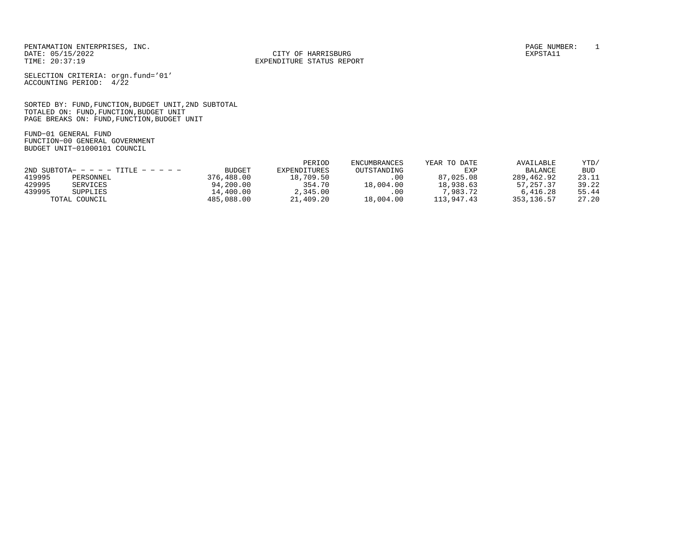CITY OF HARRISBURG

SELECTION CRITERIA: orgn.fund='01' ACCOUNTING PERIOD: 4/22

SORTED BY: FUND,FUNCTION,BUDGET UNIT,2ND SUBTOTAL TOTALED ON: FUND,FUNCTION,BUDGET UNIT PAGE BREAKS ON: FUND,FUNCTION,BUDGET UNIT

FUND−01 GENERAL FUND FUNCTION−00 GENERAL GOVERNMENT BUDGET UNIT−01000101 COUNCIL

|        |                                        |               | PERIOD       | ENCUMBRANCES | YEAR TO DATE | AVAILABLE      | YTD/       |
|--------|----------------------------------------|---------------|--------------|--------------|--------------|----------------|------------|
|        | $2ND$ SUBTOTA- - - - - TITLE - - - - - | <b>BUDGET</b> | EXPENDITURES | OUTSTANDING  | EXP          | <b>BALANCE</b> | <b>BUD</b> |
| 419995 | PERSONNEL                              | 376,488.00    | 18,709.50    | .00          | 87,025,08    | 289,462.92     | 23.11      |
| 429995 | SERVICES                               | 94,200.00     | 354.70       | 18,004.00    | 18,938.63    | 57, 257, 37    | 39.22      |
| 439995 | SUPPLIES                               | 14,400.00     | 2,345.00     | .00          | 7,983.72     | 6,416.28       | 55.44      |
|        | TOTAL COUNCIL                          | 485,088,00    | 21,409.20    | 18,004.00    | 113,947.43   | 353,136.57     | 27.20      |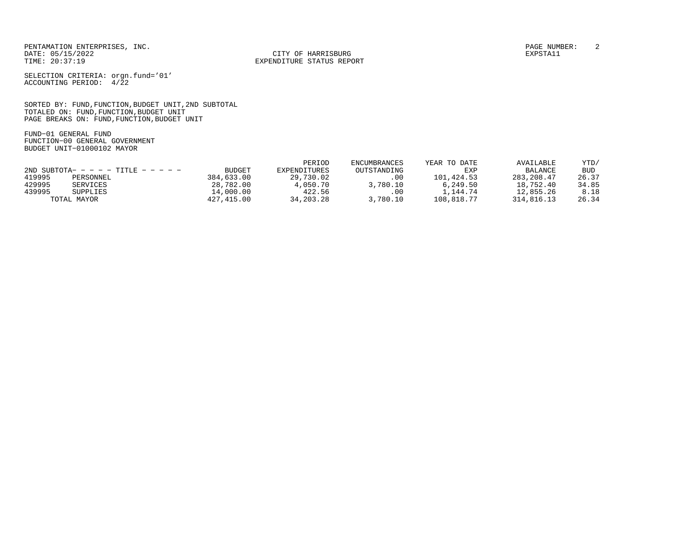CITY OF HARRISBURG

SELECTION CRITERIA: orgn.fund='01' ACCOUNTING PERIOD: 4/22

SORTED BY: FUND,FUNCTION,BUDGET UNIT,2ND SUBTOTAL TOTALED ON: FUND,FUNCTION,BUDGET UNIT PAGE BREAKS ON: FUND,FUNCTION,BUDGET UNIT

FUND−01 GENERAL FUND FUNCTION−00 GENERAL GOVERNMENT BUDGET UNIT−01000102 MAYOR

|        |                                      |               | PERIOD       | ENCUMBRANCES | YEAR TO DATE | AVAILABLE      | YTD/       |
|--------|--------------------------------------|---------------|--------------|--------------|--------------|----------------|------------|
|        | 2ND SUBTOTA- - - - - TITLE - - - - - | <b>BUDGET</b> | EXPENDITURES | OUTSTANDING  | EXP          | <b>BALANCE</b> | <b>BUD</b> |
| 419995 | PERSONNEL                            | 384,633.00    | 29,730.02    | .00          | 101,424.53   | 283, 208, 47   | 26.37      |
| 429995 | SERVICES                             | 28,782.00     | 4,050.70     | 3,780.10     | 6.249.50     | 18,752.40      | 34.85      |
| 439995 | SUPPLIES                             | 14,000.00     | 422.56       | .00          | .,144.74     | 12,855.26      | 8.18       |
|        | TOTAL MAYOR                          | 427,415.00    | 34, 203, 28  | 3,780.10     | 108,818.77   | 314,816.13     | 26.34      |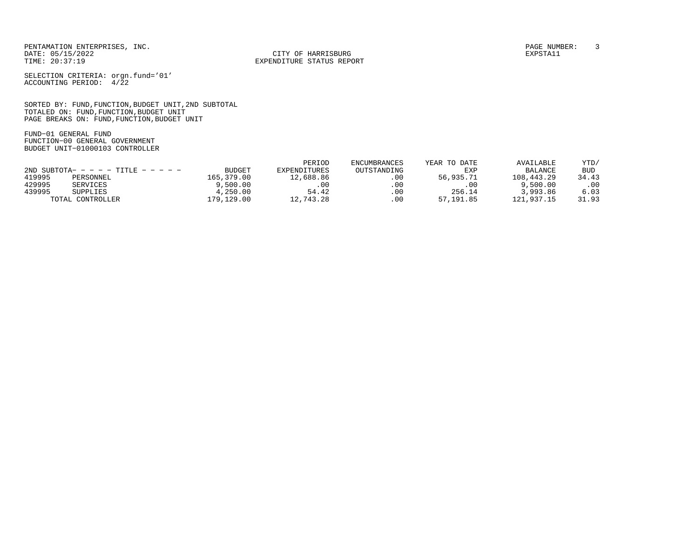CITY OF HARRISBURG

SELECTION CRITERIA: orgn.fund='01' ACCOUNTING PERIOD: 4/22

SORTED BY: FUND,FUNCTION,BUDGET UNIT,2ND SUBTOTAL TOTALED ON: FUND,FUNCTION,BUDGET UNIT PAGE BREAKS ON: FUND,FUNCTION,BUDGET UNIT

FUND−01 GENERAL FUND FUNCTION−00 GENERAL GOVERNMENT BUDGET UNIT−01000103 CONTROLLER

|        |                                        |               | PERIOD       | <b>ENCUMBRANCES</b> | YEAR TO DATE | AVAILABLE  | YTD/  |
|--------|----------------------------------------|---------------|--------------|---------------------|--------------|------------|-------|
|        | $2ND$ SUBTOTA- - - - - TITLE - - - - - | <b>BUDGET</b> | EXPENDITURES | OUTSTANDING         | EXP          | BALANCE    | BUD   |
| 419995 | PERSONNEL                              | 165,379.00    | 12,688.86    | .00                 | 56,935.71    | 108,443.29 | 34.43 |
| 429995 | SERVICES                               | 9,500.00      | .00          | $.00 \,$            | .00          | 9,500.00   | .00.  |
| 439995 | SUPPLIES                               | 4,250.00      | 54.42        | $.00 \,$            | 256.14       | 3,993.86   | 6.03  |
|        | TOTAL CONTROLLER                       | 179,129.00    | 12,743.28    | $.00 \,$            | 57, 191, 85  | 121,937.15 | 31.93 |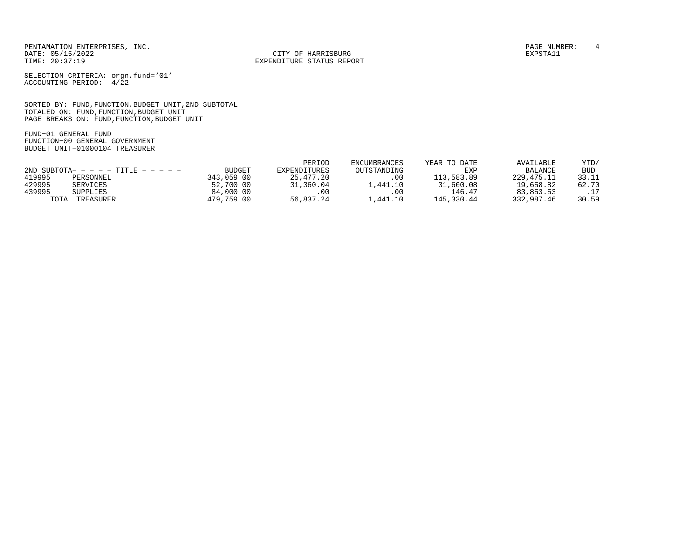CITY OF HARRISBURG

SELECTION CRITERIA: orgn.fund='01' ACCOUNTING PERIOD: 4/22

SORTED BY: FUND,FUNCTION,BUDGET UNIT,2ND SUBTOTAL TOTALED ON: FUND,FUNCTION,BUDGET UNIT PAGE BREAKS ON: FUND,FUNCTION,BUDGET UNIT

FUND−01 GENERAL FUND FUNCTION−00 GENERAL GOVERNMENT BUDGET UNIT−01000104 TREASURER

|        |                                        |               | PERIOD       | <b>ENCUMBRANCES</b> | YEAR TO DATE | AVAILABLE      | YTD/       |
|--------|----------------------------------------|---------------|--------------|---------------------|--------------|----------------|------------|
|        | $2ND$ SUBTOTA- - - - - TITLE - - - - - | <b>BUDGET</b> | EXPENDITURES | OUTSTANDING         | EXP          | <b>BALANCE</b> | <b>BUD</b> |
| 419995 | PERSONNEL                              | 343,059.00    | 25, 477, 20  | $.00 \,$            | 113,583.89   | 229, 475. 11   | 33.11      |
| 429995 | SERVICES                               | 52,700.00     | 31,360.04    | .,441.10            | 31,600.08    | 19,658.82      | 62.70      |
| 439995 | SUPPLIES                               | 84,000.00     | .00          | .00                 | 146.47       | 83,853.53      | .17        |
| TOTAL  | TREASURER                              | 479,759.00    | 56,837.24    | .,441.10            | 145,330.44   | 332,987.46     | 30.59      |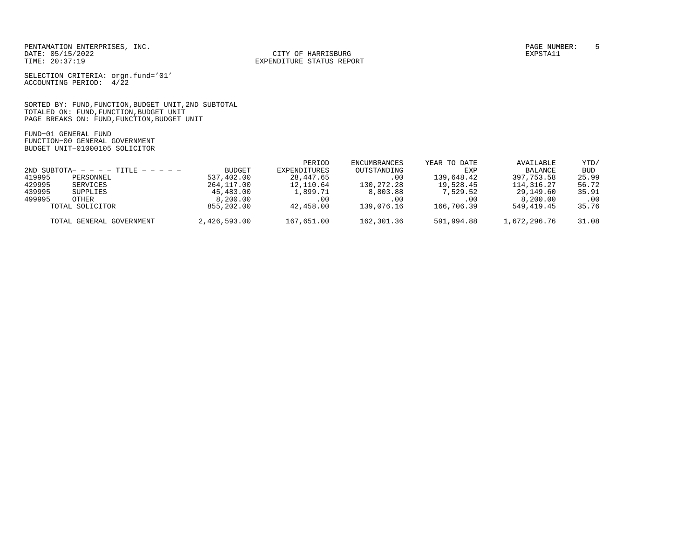CITY OF HARRISBURG

SELECTION CRITERIA: orgn.fund='01' ACCOUNTING PERIOD: 4/22

SORTED BY: FUND,FUNCTION,BUDGET UNIT,2ND SUBTOTAL TOTALED ON: FUND,FUNCTION,BUDGET UNIT PAGE BREAKS ON: FUND,FUNCTION,BUDGET UNIT

FUND−01 GENERAL FUND FUNCTION−00 GENERAL GOVERNMENT BUDGET UNIT−01000105 SOLICITOR

|        |                                      |               | PERIOD       | ENCUMBRANCES | YEAR TO DATE | AVAILABLE      | YTD/       |
|--------|--------------------------------------|---------------|--------------|--------------|--------------|----------------|------------|
|        | 2ND SUBTOTA- - - - - TITLE - - - - - | <b>BUDGET</b> | EXPENDITURES | OUTSTANDING  | EXP          | <b>BALANCE</b> | <b>BUD</b> |
| 419995 | PERSONNEL                            | 537,402.00    | 28,447.65    | .00          | 139,648.42   | 397,753.58     | 25.99      |
| 429995 | SERVICES                             | 264,117.00    | 12,110.64    | 130,272.28   | 19,528.45    | 114,316.27     | 56.72      |
| 439995 | SUPPLIES                             | 45,483.00     | 1,899.71     | 8,803.88     | 7,529.52     | 29,149.60      | 35.91      |
| 499995 | OTHER                                | 8,200.00      | .00          | .00          | .00          | 8,200,00       | $.00 \,$   |
|        | TOTAL SOLICITOR                      | 855,202.00    | 42,458.00    | 139,076.16   | 166,706.39   | 549,419.45     | 35.76      |
|        | TOTAL GENERAL GOVERNMENT             | 2,426,593.00  | 167,651.00   | 162,301.36   | 591,994.88   | 1,672,296.76   | 31.08      |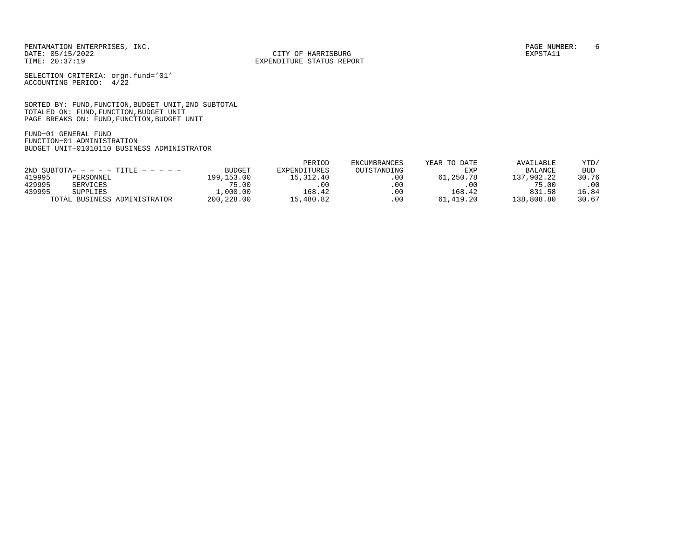CITY OF HARRISBURG

SELECTION CRITERIA: orgn.fund='01' ACCOUNTING PERIOD: 4/22

SORTED BY: FUND,FUNCTION,BUDGET UNIT,2ND SUBTOTAL TOTALED ON: FUND,FUNCTION,BUDGET UNIT PAGE BREAKS ON: FUND,FUNCTION,BUDGET UNIT

FUND−01 GENERAL FUND FUNCTION−01 ADMINISTRATION BUDGET UNIT−01010110 BUSINESS ADMINISTRATOR

|        |                                        |               | PERIOD       | <b>ENCUMBRANCES</b> | YEAR TO DATE | AVAILABLE      | YTD/       |
|--------|----------------------------------------|---------------|--------------|---------------------|--------------|----------------|------------|
|        | $2ND$ SUBTOTA- - - - - TITLE - - - - - | <b>BUDGET</b> | EXPENDITURES | OUTSTANDING         | EXP          | <b>BALANCE</b> | <b>BUD</b> |
| 419995 | PERSONNEL                              | 199,153.00    | 15, 312, 40  | .00                 | 61,250.78    | 137,902.22     | 30.76      |
| 429995 | SERVICES                               | 75.00         | .00          | .00                 | $.00 \cdot$  | 75.00          | .00        |
| 439995 | <b>SUPPLIES</b>                        | 1,000.00      | 168.42       | .00                 | 168.42       | 831.58         | 16.84      |
|        | TOTAL BUSINESS ADMINISTRATOR           | 200,228.00    | 15,480.82    | .00                 | 61,419.20    | 138,808.80     | 30.67      |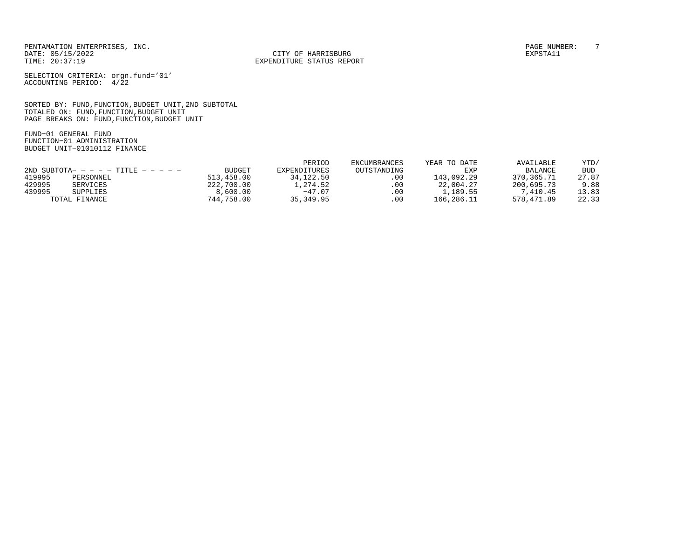CITY OF HARRISBURG

SELECTION CRITERIA: orgn.fund='01' ACCOUNTING PERIOD: 4/22

SORTED BY: FUND,FUNCTION,BUDGET UNIT,2ND SUBTOTAL TOTALED ON: FUND,FUNCTION,BUDGET UNIT PAGE BREAKS ON: FUND,FUNCTION,BUDGET UNIT

FUND−01 GENERAL FUND FUNCTION−01 ADMINISTRATION BUDGET UNIT−01010112 FINANCE

|        |                                        |               | PERIOD          | <b>ENCUMBRANCES</b> | YEAR TO DATE | AVAILABLE      | YTD/  |
|--------|----------------------------------------|---------------|-----------------|---------------------|--------------|----------------|-------|
|        | $2ND$ SUBTOTA- - - - - TITLE - - - - - | <b>BUDGET</b> | EXPENDITURES    | OUTSTANDING         | EXP          | <b>BALANCE</b> | BUD   |
| 419995 | PERSONNEL                              | 513,458.00    | 34,122.50       | .00                 | 143,092.29   | 370,365.71     | 27.87 |
| 429995 | SERVICES                               | 222,700.00    | $\sqrt{274.52}$ | .00                 | 22,004.27    | 200,695.73     | 9.88  |
| 439995 | SUPPLIES                               | 8,600.00      | $-47.07$        | .00                 | 1,189.55     | 7,410.45       | 13.83 |
|        | TOTAL FINANCE                          | 744,758.00    | 35,349.95       | .00                 | 166,286.11   | 578,471.89     | 22.33 |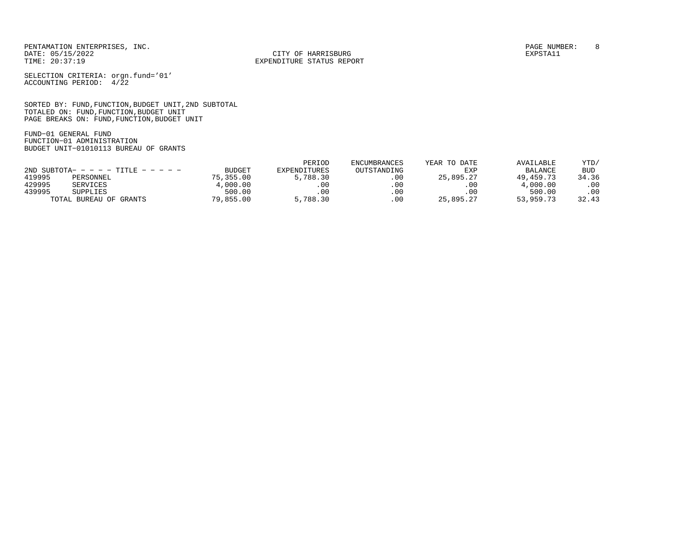CITY OF HARRISBURG

SELECTION CRITERIA: orgn.fund='01' ACCOUNTING PERIOD: 4/22

SORTED BY: FUND,FUNCTION,BUDGET UNIT,2ND SUBTOTAL TOTALED ON: FUND,FUNCTION,BUDGET UNIT PAGE BREAKS ON: FUND,FUNCTION,BUDGET UNIT

FUND−01 GENERAL FUND FUNCTION−01 ADMINISTRATION BUDGET UNIT−01010113 BUREAU OF GRANTS

|                                        |                        |               | PERIOD       | ENCUMBRANCES | YEAR TO DATE | AVAILABLE      | YTD/       |
|----------------------------------------|------------------------|---------------|--------------|--------------|--------------|----------------|------------|
| $2ND$ SUBTOTA- - - - - TITLE - - - - - |                        | <b>BUDGET</b> | EXPENDITURES | OUTSTANDING  | EXP          | <b>BALANCE</b> | <b>BUD</b> |
| 419995                                 | PERSONNEL              | 75,355,00     | 5,788.30     | .00          | 25,895.27    | 49, 459. 73    | 34.36      |
| 429995                                 | SERVICES               | 4,000.00      |              | .00          | .00          | 4,000.00       | .00        |
| 439995                                 | SUPPLIES               | 500.00        | .00          | .00          | $.00 \,$     | 500.00         | .00        |
|                                        | TOTAL BUREAU OF GRANTS | 79,855.00     | 5,788.30     | .00          | 25,895.27    | 53,959.73      | 32.43      |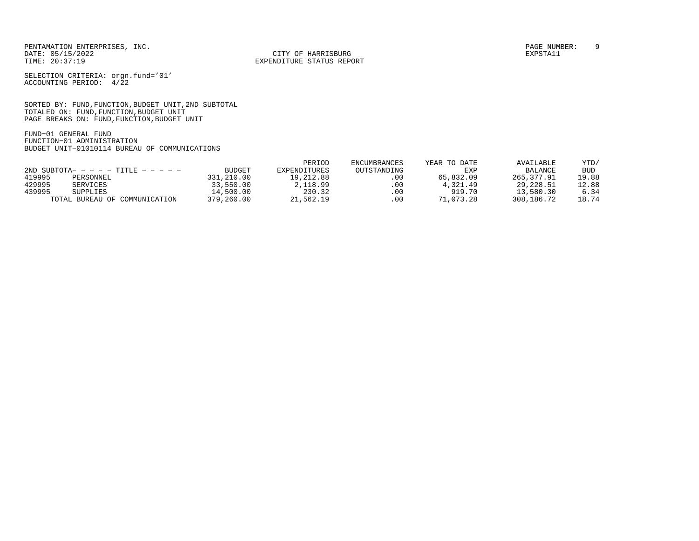CITY OF HARRISBURG

SELECTION CRITERIA: orgn.fund='01' ACCOUNTING PERIOD: 4/22

SORTED BY: FUND,FUNCTION,BUDGET UNIT,2ND SUBTOTAL TOTALED ON: FUND,FUNCTION,BUDGET UNIT PAGE BREAKS ON: FUND,FUNCTION,BUDGET UNIT

FUND−01 GENERAL FUND FUNCTION−01 ADMINISTRATION BUDGET UNIT−01010114 BUREAU OF COMMUNICATIONS

|                                        |                               |               | PERIOD       | <b>ENCUMBRANCES</b> | YEAR TO DATE | AVAILABLE      | YTD/       |
|----------------------------------------|-------------------------------|---------------|--------------|---------------------|--------------|----------------|------------|
| $2ND$ SUBTOTA- - - - - TITLE - - - - - |                               | <b>BUDGET</b> | EXPENDITURES | OUTSTANDING         | EXP          | <b>BALANCE</b> | <b>BUD</b> |
| 419995                                 | PERSONNEL                     | 331,210.00    | 19,212.88    | .00                 | 65,832.09    | 265,377.91     | 19.88      |
| 429995                                 | SERVICES                      | 33,550.00     | 2,118.99     | .00                 | 4,321.49     | 29,228.51      | 12.88      |
| 439995                                 | <b>SUPPLIES</b>               | 14,500.00     | 230.32       | $.00 \,$            | 919.70       | 13,580.30      | 6.34       |
|                                        | TOTAL BUREAU OF COMMUNICATION | 379,260.00    | 21,562.19    | .00                 | 71,073.28    | 308,186.72     | 18.74      |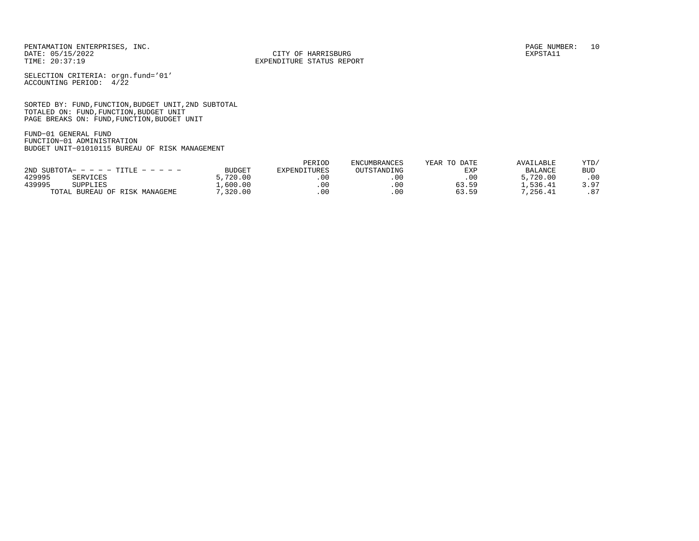CITY OF HARRISBURG

SELECTION CRITERIA: orgn.fund='01' ACCOUNTING PERIOD: 4/22

SORTED BY: FUND,FUNCTION,BUDGET UNIT,2ND SUBTOTAL TOTALED ON: FUND,FUNCTION,BUDGET UNIT PAGE BREAKS ON: FUND,FUNCTION,BUDGET UNIT

FUND−01 GENERAL FUND FUNCTION−01 ADMINISTRATION BUDGET UNIT−01010115 BUREAU OF RISK MANAGEMENT

|                                        |               | PERIOD       | <b>ENCUMBRANCES</b> | YEAR TO DATE | AVAILABLE      | YTD/ |
|----------------------------------------|---------------|--------------|---------------------|--------------|----------------|------|
| $2ND$ SUBTOTA- - - - - TITLE - - - - - | <b>BUDGET</b> | EXPENDITURES | OUTSTANDING         | EXI          | <b>BALANCE</b> | BUD  |
| 429995<br>SERVICES                     | ,720.00       |              | .00                 | $.00 \,$     | 5,720.00       | .00  |
| 439995<br>SUPPLIES                     | ,600.00       | . 00         | .00                 | 63.59        | . . 536.41     | 3.97 |
| TOTAL BUREAU OF RISK MANAGEME          | ,320.00       |              | .00                 | 63.59        | 7,256.41       | .87  |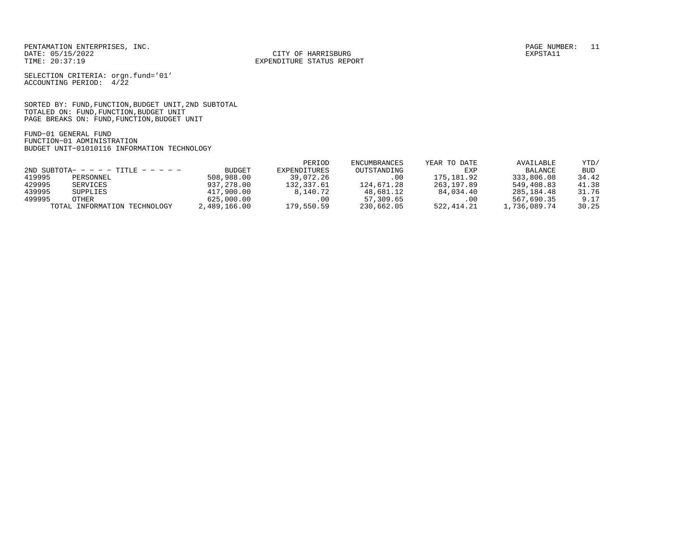CITY OF HARRISBURG

SELECTION CRITERIA: orgn.fund='01' ACCOUNTING PERIOD: 4/22

SORTED BY: FUND,FUNCTION,BUDGET UNIT,2ND SUBTOTAL TOTALED ON: FUND,FUNCTION,BUDGET UNIT PAGE BREAKS ON: FUND,FUNCTION,BUDGET UNIT

FUND−01 GENERAL FUND FUNCTION−01 ADMINISTRATION BUDGET UNIT−01010116 INFORMATION TECHNOLOGY

|        |                                        |              | PERIOD       | ENCUMBRANCES | YEAR TO DATE | AVAILABLE    | YTD/       |
|--------|----------------------------------------|--------------|--------------|--------------|--------------|--------------|------------|
|        | $2ND$ SUBTOTA- - - - - TITLE - - - - - | BUDGET       | EXPENDITURES | OUTSTANDING  | EXP          | BALANCE      | <b>BUD</b> |
| 419995 | PERSONNEL                              | 508,988,00   | 39,072.26    | .00          | 175,181.92   | 333,806.08   | 34.42      |
| 429995 | SERVICES                               | 937,278.00   | 132,337.61   | 124,671.28   | 263,197.89   | 549,408.83   | 41.38      |
| 439995 | SUPPLIES                               | 417,900.00   | 8,140.72     | 48,681.12    | 84,034.40    | 285,184.48   | 31.76      |
| 499995 | OTHER                                  | 625,000.00   | .00          | 57,309.65    | .00          | 567,690.35   | 9.17       |
|        | TOTAL INFORMATION TECHNOLOGY           | 2,489,166.00 | 179,550.59   | 230,662.05   | 522,414.21   | 1,736,089.74 | 30.25      |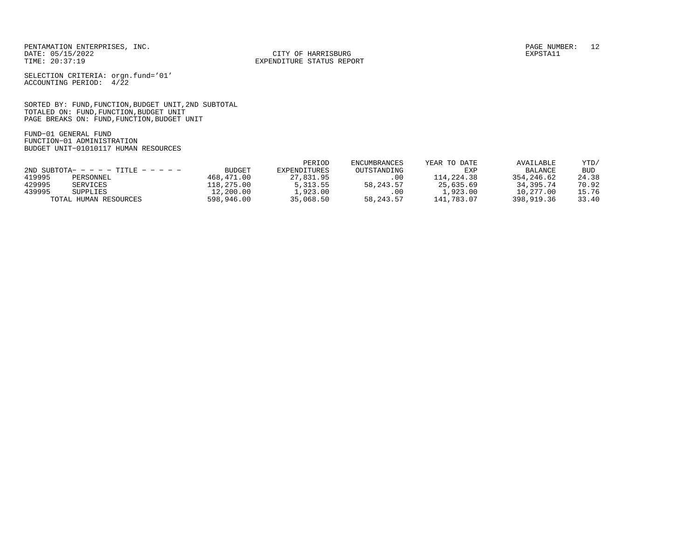CITY OF HARRISBURG

SELECTION CRITERIA: orgn.fund='01' ACCOUNTING PERIOD: 4/22

SORTED BY: FUND,FUNCTION,BUDGET UNIT,2ND SUBTOTAL TOTALED ON: FUND,FUNCTION,BUDGET UNIT PAGE BREAKS ON: FUND,FUNCTION,BUDGET UNIT

FUND−01 GENERAL FUND FUNCTION−01 ADMINISTRATION BUDGET UNIT−01010117 HUMAN RESOURCES

|                                      |                       |               | PERIOD       | <b>ENCUMBRANCES</b> | YEAR TO DATE | AVAILABLE   | YTD/       |
|--------------------------------------|-----------------------|---------------|--------------|---------------------|--------------|-------------|------------|
| 2ND SUBTOTA- - - - - TITLE - - - - - |                       | <b>BUDGET</b> | EXPENDITURES | OUTSTANDING         | EXP          | BALANCE     | <b>BUD</b> |
| 419995                               | PERSONNEL             | 468,471.00    | 27,831.95    | $.00 \,$            | 114,224.38   | 354,246.62  | 24.38      |
| 429995                               | SERVICES              | 118,275.00    | 5, 313.55    | 58, 243. 57         | 25,635.69    | 34, 395, 74 | 70.92      |
| 439995                               | SUPPLIES              | 12,200.00     | .,923.00     | .00                 | 1,923.00     | 10,277.00   | 15.76      |
|                                      | TOTAL HUMAN RESOURCES | 598,946.00    | 35,068.50    | 58, 243. 57         | 141,783.07   | 398,919.36  | 33.40      |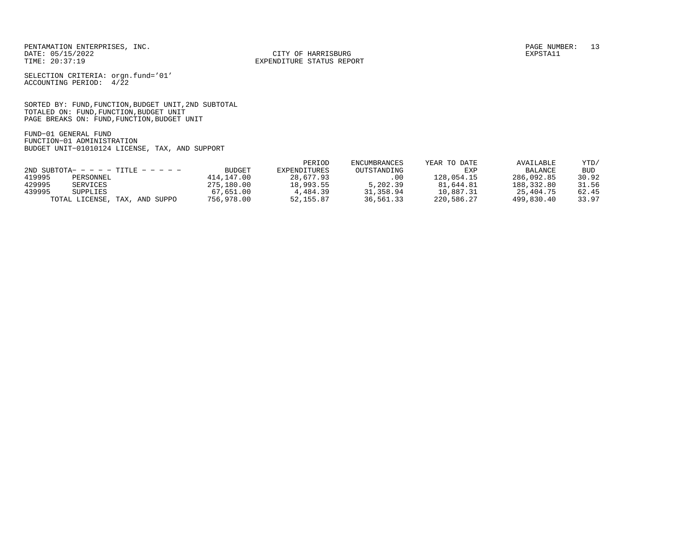CITY OF HARRISBURG

SELECTION CRITERIA: orgn.fund='01' ACCOUNTING PERIOD: 4/22

SORTED BY: FUND,FUNCTION,BUDGET UNIT,2ND SUBTOTAL TOTALED ON: FUND,FUNCTION,BUDGET UNIT PAGE BREAKS ON: FUND,FUNCTION,BUDGET UNIT

FUND−01 GENERAL FUND FUNCTION−01 ADMINISTRATION BUDGET UNIT−01010124 LICENSE, TAX, AND SUPPORT

|                                        |               | PERIOD       | ENCUMBRANCES | YEAR TO DATE | AVAILABLE      | YTD/       |
|----------------------------------------|---------------|--------------|--------------|--------------|----------------|------------|
| $2ND$ SUBTOTA- - - - - TITLE - - - - - | <b>BUDGET</b> | EXPENDITURES | OUTSTANDING  | EXP          | <b>BALANCE</b> | <b>BUD</b> |
| 419995<br>PERSONNEL                    | 414,147.00    | 28,677.93    | .00.         | 128,054.15   | 286,092.85     | 30.92      |
| 429995<br>SERVICES                     | 275,180.00    | 18,993.55    | 5,202.39     | 81,644.81    | 188,332.80     | 31.56      |
| 439995<br><b>SUPPLIES</b>              | 67,651.00     | 4,484.39     | 31,358.94    | 10,887.31    | 25,404.75      | 62.45      |
| TOTAL LICENSE, TAX, AND SUPPO          | 756,978.00    | 52, 155.87   | 36,561.33    | 220,586.27   | 499,830.40     | 33.97      |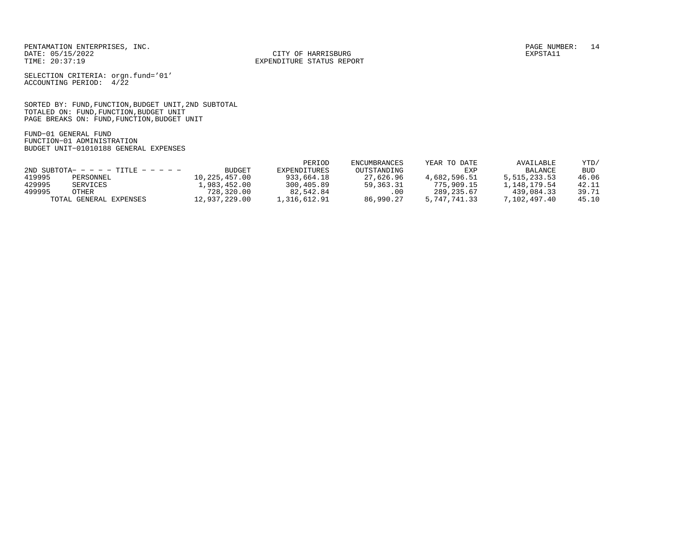CITY OF HARRISBURG

SELECTION CRITERIA: orgn.fund='01' ACCOUNTING PERIOD: 4/22

SORTED BY: FUND,FUNCTION,BUDGET UNIT,2ND SUBTOTAL TOTALED ON: FUND,FUNCTION,BUDGET UNIT PAGE BREAKS ON: FUND,FUNCTION,BUDGET UNIT

FUND−01 GENERAL FUND FUNCTION−01 ADMINISTRATION BUDGET UNIT−01010188 GENERAL EXPENSES

|        |                                        |               | PERIOD       | <b>ENCUMBRANCES</b> | YEAR TO DATE | AVAILABLE      | YTD/  |
|--------|----------------------------------------|---------------|--------------|---------------------|--------------|----------------|-------|
|        | $2ND$ SUBTOTA- - - - - TITLE - - - - - | <b>BUDGET</b> | EXPENDITURES | OUTSTANDING         | EXP          | <b>BALANCE</b> | BUD   |
| 419995 | PERSONNEL                              | 10,225,457.00 | 933,664.18   | 27,626.96           | 4,682,596.51 | 5,515,233.53   | 46.06 |
| 429995 | SERVICES                               | 1,983,452.00  | 300,405.89   | 59, 363. 31         | 775,909.15   | .,148,179.54   | 42.11 |
| 499995 | OTHER                                  | 728,320.00    | 82,542.84    | .00                 | 289, 235.67  | 439,084.33     | 39.71 |
|        | TOTAL GENERAL EXPENSES                 | 12,937,229.00 | 1,316,612.91 | 86,990.27           | 5,747,741.33 | 7,102,497.40   | 45.10 |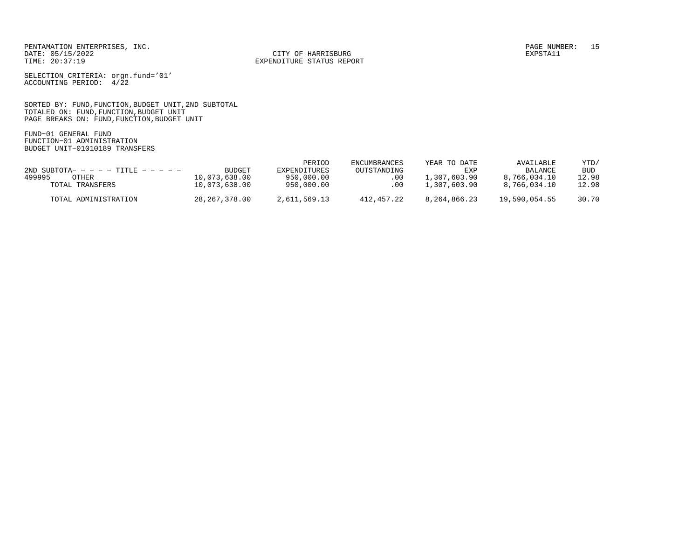CITY OF HARRISBURG

SELECTION CRITERIA: orgn.fund='01' ACCOUNTING PERIOD: 4/22

SORTED BY: FUND,FUNCTION,BUDGET UNIT,2ND SUBTOTAL TOTALED ON: FUND,FUNCTION,BUDGET UNIT PAGE BREAKS ON: FUND,FUNCTION,BUDGET UNIT

FUND−01 GENERAL FUND FUNCTION−01 ADMINISTRATION BUDGET UNIT−01010189 TRANSFERS

|                                        |               | PERIOD       | <b>ENCUMBRANCES</b> | YEAR TO DATE | AVAILABLE      | YTD/       |
|----------------------------------------|---------------|--------------|---------------------|--------------|----------------|------------|
| $2ND$ SUBTOTA- - - - - TITLE - - - - - | BUDGET        | EXPENDITURES | OUTSTANDING         | EXP          | <b>BALANCE</b> | <b>BUD</b> |
| 499995<br>OTHER                        | 10,073,638.00 | 950,000.00   | .00                 | 1,307,603.90 | 8,766,034.10   | 12.98      |
| TOTAL TRANSFERS                        | 10,073,638.00 | 950,000.00   | .00                 | 1,307,603.90 | 8,766,034.10   | 12.98      |
| TOTAL ADMINISTRATION                   | 28,267,378.00 | 2,611,569.13 | 412,457.22          | 8,264,866.23 | 19,590,054.55  | 30.70      |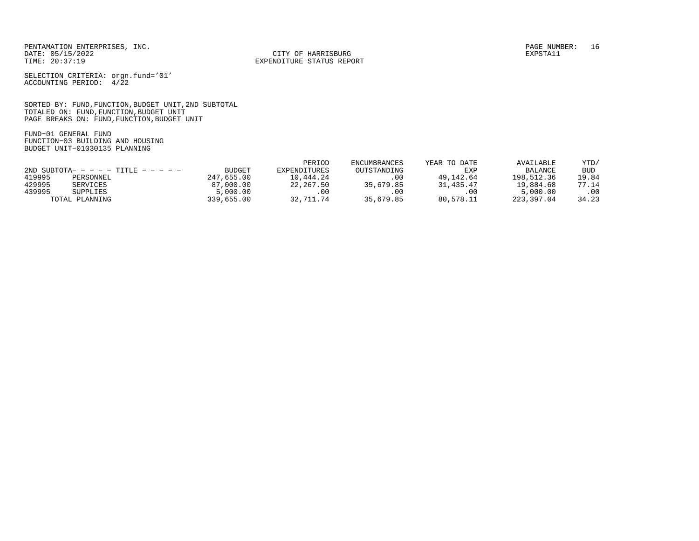CITY OF HARRISBURG

SELECTION CRITERIA: orgn.fund='01' ACCOUNTING PERIOD: 4/22

SORTED BY: FUND,FUNCTION,BUDGET UNIT,2ND SUBTOTAL TOTALED ON: FUND,FUNCTION,BUDGET UNIT PAGE BREAKS ON: FUND,FUNCTION,BUDGET UNIT

FUND−01 GENERAL FUND FUNCTION−03 BUILDING AND HOUSING BUDGET UNIT−01030135 PLANNING

|                                      |                |               | PERIOD       | <b>ENCUMBRANCES</b> | YEAR TO DATE | AVAILABLE      | YTD/  |
|--------------------------------------|----------------|---------------|--------------|---------------------|--------------|----------------|-------|
| 2ND SUBTOTA- - - - - TITLE - - - - - |                | <b>BUDGET</b> | EXPENDITURES | OUTSTANDING         | EXP          | <b>BALANCE</b> | BUD   |
| 419995                               | PERSONNEL      | 247,655,00    | 10,444.24    | .00                 | 49,142.64    | 198,512.36     | 19.84 |
| 429995                               | SERVICES       | 87,000.00     | 22,267.50    | 35,679.85           | 31,435.47    | 19,884.68      | 77.14 |
| 439995                               | SUPPLIES       | 5,000.00      | . 00         | .00                 | .00          | 5,000.00       | .00   |
|                                      | TOTAL PLANNING | 339,655,00    | 32,711.74    | 35,679.85           | 80,578.11    | 223,397.04     | 34.23 |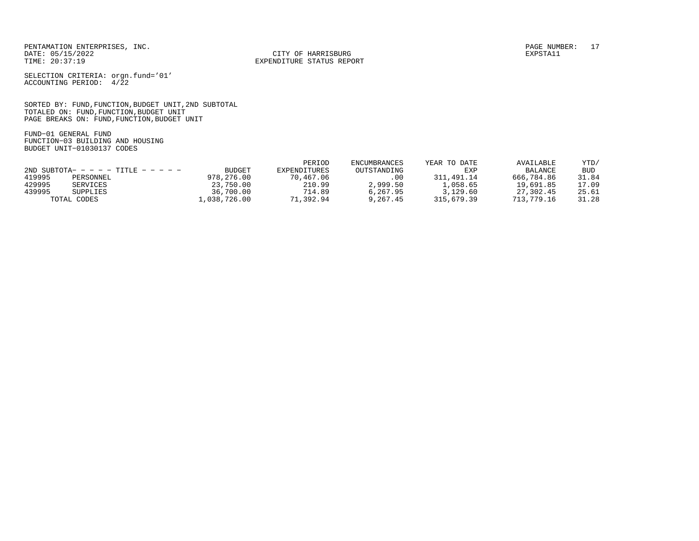CITY OF HARRISBURG

SELECTION CRITERIA: orgn.fund='01' ACCOUNTING PERIOD: 4/22

SORTED BY: FUND,FUNCTION,BUDGET UNIT,2ND SUBTOTAL TOTALED ON: FUND,FUNCTION,BUDGET UNIT PAGE BREAKS ON: FUND,FUNCTION,BUDGET UNIT

FUND−01 GENERAL FUND FUNCTION−03 BUILDING AND HOUSING BUDGET UNIT−01030137 CODES

|                                      |             |               | PERIOD       | ENCUMBRANCES | YEAR TO DATE | AVAILABLE      | YTD/       |
|--------------------------------------|-------------|---------------|--------------|--------------|--------------|----------------|------------|
| 2ND SUBTOTA- - - - - TITLE - - - - - |             | <b>BUDGET</b> | EXPENDITURES | OUTSTANDING  | EXP          | <b>BALANCE</b> | <b>BUD</b> |
| 419995                               | PERSONNEL   | 978,276.00    | 70,467.06    | .00          | 311,491.14   | 666,784.86     | 31.84      |
| 429995                               | SERVICES    | 23,750.00     | 210.99       | 2,999.50     | 1,058.65     | 19,691.85      | 17.09      |
| 439995                               | SUPPLIES    | 36,700.00     | 714.89       | 6.267.95     | 3,129.60     | 27,302.45      | 25.61      |
|                                      | TOTAL CODES | .,038,726.00  | 71,392.94    | 9,267.45     | 315,679.39   | 713,779.16     | 31.28      |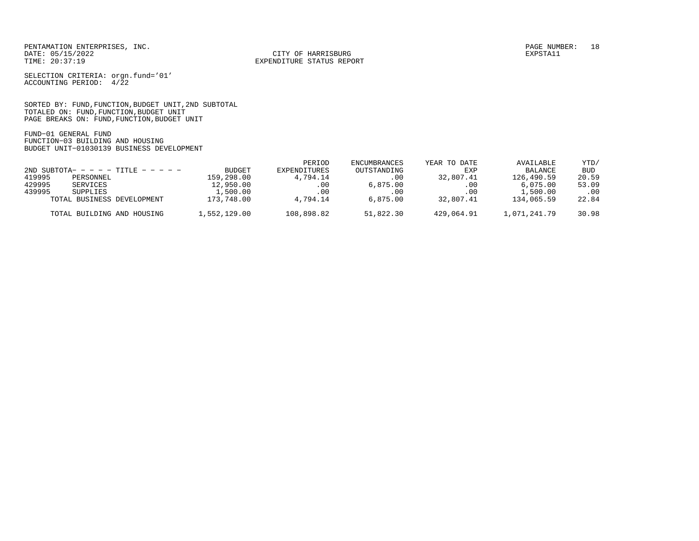CITY OF HARRISBURG

SELECTION CRITERIA: orgn.fund='01' ACCOUNTING PERIOD: 4/22

SORTED BY: FUND,FUNCTION,BUDGET UNIT,2ND SUBTOTAL TOTALED ON: FUND,FUNCTION,BUDGET UNIT PAGE BREAKS ON: FUND,FUNCTION,BUDGET UNIT

FUND−01 GENERAL FUND FUNCTION−03 BUILDING AND HOUSING BUDGET UNIT−01030139 BUSINESS DEVELOPMENT

|                                        |              | PERIOD       | ENCUMBRANCES | YEAR TO DATE | AVAILABLE      | YTD/       |
|----------------------------------------|--------------|--------------|--------------|--------------|----------------|------------|
| $2ND$ SUBTOTA- - - - - TITLE - - - - - | BUDGET       | EXPENDITURES | OUTSTANDING  | EXP          | <b>BALANCE</b> | <b>BUD</b> |
| 419995<br>PERSONNEL                    | 159,298.00   | 4,794.14     | .00          | 32,807.41    | 126,490.59     | 20.59      |
| 429995<br>SERVICES                     | 12,950.00    | .00.         | 6.875.00     | .00          | 6,075.00       | 53.09      |
| 439995<br>SUPPLIES                     | 1,500.00     | .00          | .00          | $.00 \,$     | 1,500.00       | .00        |
| TOTAL BUSINESS DEVELOPMENT             | 173,748.00   | 4,794.14     | 6.875.00     | 32,807.41    | 134,065.59     | 22.84      |
| TOTAL BUILDING AND HOUSING             | 1,552,129.00 | 108,898.82   | 51,822.30    | 429,064.91   | 1,071,241.79   | 30.98      |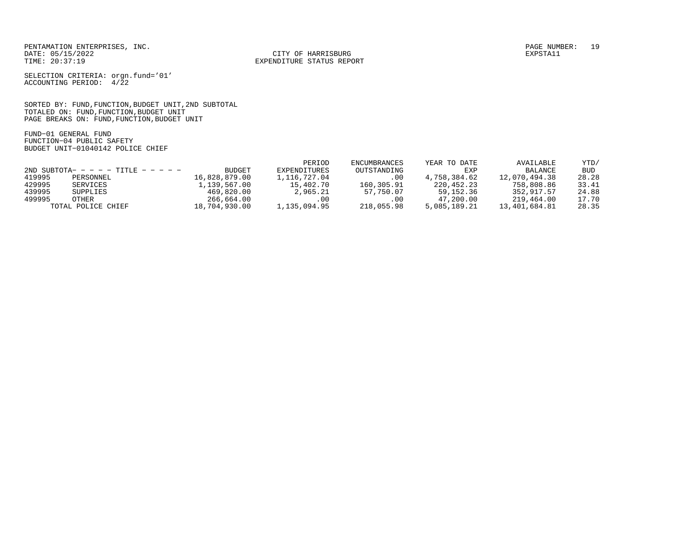CITY OF HARRISBURG

SELECTION CRITERIA: orgn.fund='01' ACCOUNTING PERIOD: 4/22

SORTED BY: FUND,FUNCTION,BUDGET UNIT,2ND SUBTOTAL TOTALED ON: FUND,FUNCTION,BUDGET UNIT PAGE BREAKS ON: FUND,FUNCTION,BUDGET UNIT

FUND−01 GENERAL FUND FUNCTION−04 PUBLIC SAFETY BUDGET UNIT−01040142 POLICE CHIEF

|        |                                      |               | PERIOD       | ENCUMBRANCES | YEAR TO DATE | AVAILABLE      | YTD/       |
|--------|--------------------------------------|---------------|--------------|--------------|--------------|----------------|------------|
|        | 2ND SUBTOTA- - - - - TITLE - - - - - | BUDGET        | EXPENDITURES | OUTSTANDING  | EXP          | <b>BALANCE</b> | <b>BUD</b> |
| 419995 | PERSONNEL                            | 16,828,879.00 | 1,116,727.04 | .00          | 4,758,384.62 | 12,070,494.38  | 28.28      |
| 429995 | SERVICES                             | 1,139,567.00  | 15,402.70    | 160,305.91   | 220,452.23   | 758,808.86     | 33.41      |
| 439995 | SUPPLIES                             | 469,820.00    | 2,965.21     | 57,750.07    | 59,152.36    | 352,917.57     | 24.88      |
| 499995 | OTHER                                | 266,664.00    | .00          | .00          | 47,200.00    | 219,464.00     | 17.70      |
|        | TOTAL POLICE CHIEF                   | 18,704,930.00 | 1,135,094.95 | 218,055.98   | 5,085,189.21 | 13,401,684.81  | 28.35      |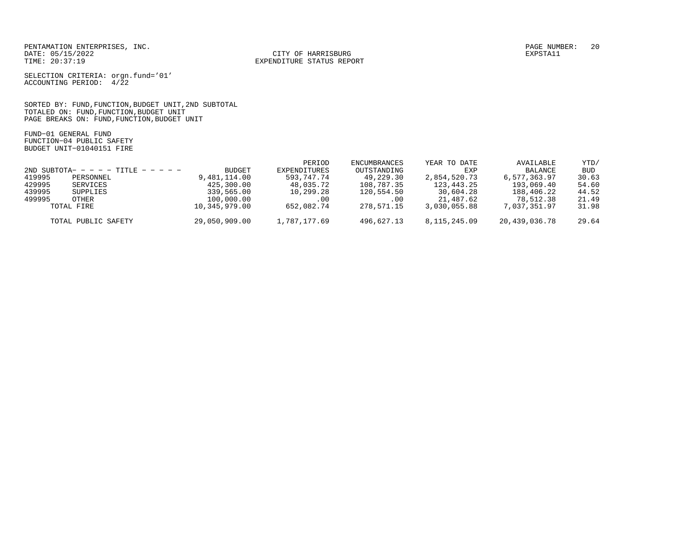CITY OF HARRISBURG

SELECTION CRITERIA: orgn.fund='01' ACCOUNTING PERIOD: 4/22

SORTED BY: FUND,FUNCTION,BUDGET UNIT,2ND SUBTOTAL TOTALED ON: FUND,FUNCTION,BUDGET UNIT PAGE BREAKS ON: FUND,FUNCTION,BUDGET UNIT

FUND−01 GENERAL FUND FUNCTION−04 PUBLIC SAFETY BUDGET UNIT−01040151 FIRE

|                                      |                     |               | PERIOD       | ENCUMBRANCES | YEAR TO DATE    | AVAILABLE     | YTD/       |
|--------------------------------------|---------------------|---------------|--------------|--------------|-----------------|---------------|------------|
| 2ND SUBTOTA- - - - - TITLE - - - - - |                     | BUDGET        | EXPENDITURES | OUTSTANDING  | EXP             | BALANCE       | <b>BUD</b> |
| 419995                               | PERSONNEL           | 9,481,114.00  | 593,747.74   | 49,229.30    | 2,854,520.73    | 6,577,363.97  | 30.63      |
| 429995                               | SERVICES            | 425,300.00    | 48,035.72    | 108,787.35   | 123,443.25      | 193,069.40    | 54.60      |
| 439995                               | SUPPLIES            | 339,565.00    | 10,299.28    | 120,554.50   | 30,604.28       | 188,406.22    | 44.52      |
| 499995                               | OTHER               | 100,000.00    | .00          | .00          | 21,487.62       | 78,512.38     | 21.49      |
|                                      | TOTAL FIRE          | 10,345,979.00 | 652,082.74   | 278,571.15   | 3,030,055.88    | 7,037,351.97  | 31.98      |
|                                      | TOTAL PUBLIC SAFETY | 29,050,909.00 | 1,787,177.69 | 496,627.13   | 8, 115, 245, 09 | 20,439,036.78 | 29.64      |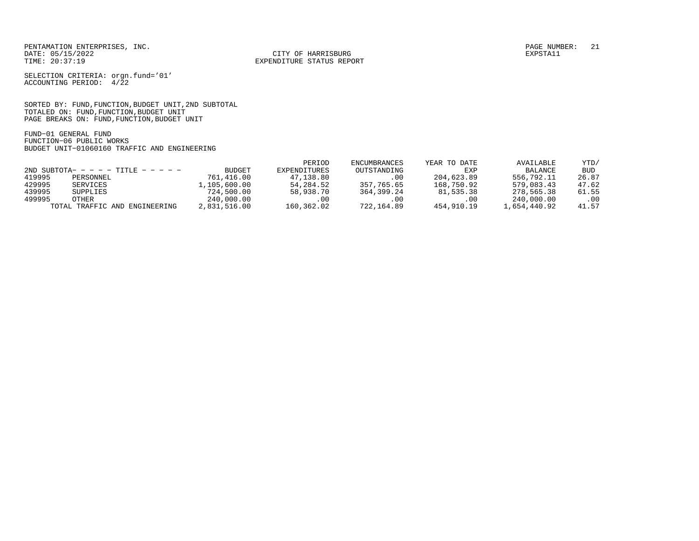CITY OF HARRISBURG

SELECTION CRITERIA: orgn.fund='01' ACCOUNTING PERIOD: 4/22

SORTED BY: FUND,FUNCTION,BUDGET UNIT,2ND SUBTOTAL TOTALED ON: FUND,FUNCTION,BUDGET UNIT PAGE BREAKS ON: FUND,FUNCTION,BUDGET UNIT

FUND−01 GENERAL FUND FUNCTION−06 PUBLIC WORKS BUDGET UNIT−01060160 TRAFFIC AND ENGINEERING

|                                      |                               |              | PERIOD       | ENCUMBRANCES | YEAR TO DATE | AVAILABLE    | YTD/  |
|--------------------------------------|-------------------------------|--------------|--------------|--------------|--------------|--------------|-------|
| 2ND SUBTOTA- - - - - TITLE - - - - - |                               | BUDGET       | EXPENDITURES | OUTSTANDING  | EXP          | BALANCE      | BUD   |
| 419995                               | PERSONNEL                     | 761,416.00   | 47,138.80    | .00          | 204,623.89   | 556,792.11   | 26.87 |
| 429995                               | SERVICES                      | 1,105,600.00 | 54,284.52    | 357,765.65   | 168,750.92   | 579,083.43   | 47.62 |
| 439995                               | SUPPLIES                      | 724,500.00   | 58,938.70    | 364,399.24   | 81,535.38    | 278,565.38   | 61.55 |
| 499995                               | OTHER                         | 240,000.00   | . 00         | .00          | .00          | 240,000.00   | .00   |
|                                      | TOTAL TRAFFIC AND ENGINEERING | 2,831,516.00 | 160,362.02   | 722,164.89   | 454,910.19   | 1,654,440.92 | 41.57 |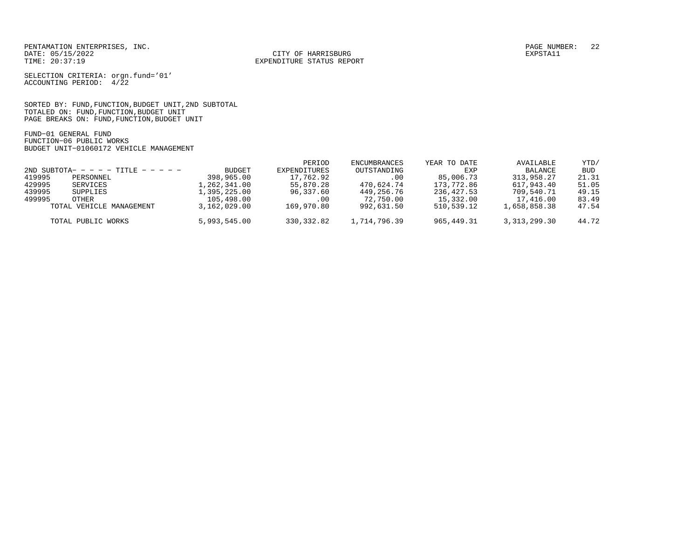CITY OF HARRISBURG

SELECTION CRITERIA: orgn.fund='01' ACCOUNTING PERIOD: 4/22

SORTED BY: FUND,FUNCTION,BUDGET UNIT,2ND SUBTOTAL TOTALED ON: FUND,FUNCTION,BUDGET UNIT PAGE BREAKS ON: FUND,FUNCTION,BUDGET UNIT

FUND−01 GENERAL FUND FUNCTION−06 PUBLIC WORKS BUDGET UNIT−01060172 VEHICLE MANAGEMENT

|                                        |                          |              | PERIOD       | ENCUMBRANCES | YEAR TO DATE | AVAILABLE      | YTD/       |
|----------------------------------------|--------------------------|--------------|--------------|--------------|--------------|----------------|------------|
| $2ND$ SUBTOTA- - - - - TITLE - - - - - |                          | BUDGET       | EXPENDITURES | OUTSTANDING  | EXP          | BALANCE        | <b>BUD</b> |
| 419995                                 | PERSONNEL                | 398,965.00   | 17,762.92    | .00          | 85,006.73    | 313,958.27     | 21.31      |
| 429995                                 | SERVICES                 | 1,262,341.00 | 55,870.28    | 470,624.74   | 173,772.86   | 617,943.40     | 51.05      |
| 439995                                 | SUPPLIES                 | 1,395,225.00 | 96,337.60    | 449,256.76   | 236,427.53   | 709,540.71     | 49.15      |
| 499995                                 | OTHER                    | 105,498.00   | .00          | 72,750.00    | 15,332.00    | 17,416.00      | 83.49      |
|                                        | TOTAL VEHICLE MANAGEMENT | 3,162,029.00 | 169,970.80   | 992,631.50   | 510,539.12   | 1,658,858.38   | 47.54      |
|                                        | TOTAL PUBLIC WORKS       | 5,993,545.00 | 330,332.82   | 1,714,796.39 | 965,449.31   | 3, 313, 299.30 | 44.72      |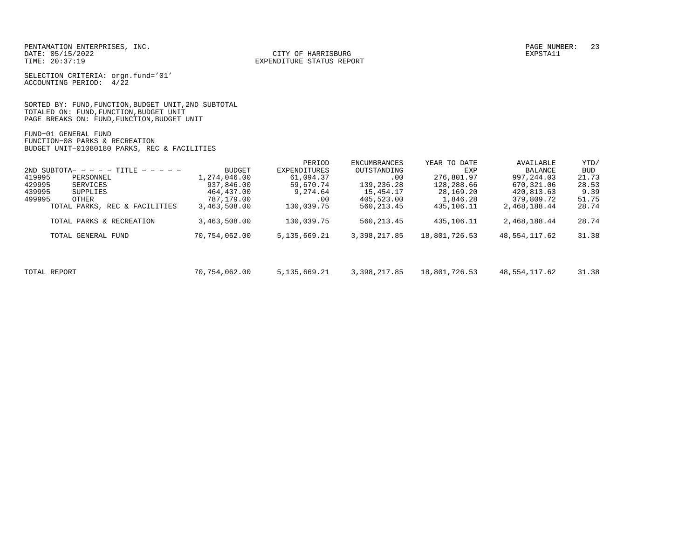CITY OF HARRISBURG

SELECTION CRITERIA: orgn.fund='01' ACCOUNTING PERIOD: 4/22

SORTED BY: FUND,FUNCTION,BUDGET UNIT,2ND SUBTOTAL TOTALED ON: FUND,FUNCTION,BUDGET UNIT PAGE BREAKS ON: FUND,FUNCTION,BUDGET UNIT

FUND−01 GENERAL FUND FUNCTION−08 PARKS & RECREATION BUDGET UNIT−01080180 PARKS, REC & FACILITIES

|                                      |               | PERIOD              | ENCUMBRANCES | YEAR TO DATE  | AVAILABLE     | YTD/       |
|--------------------------------------|---------------|---------------------|--------------|---------------|---------------|------------|
| 2ND SUBTOTA- - - - - TITLE - - - - - | <b>BUDGET</b> | <b>EXPENDITURES</b> | OUTSTANDING  | EXP           | BALANCE       | <b>BUD</b> |
| 419995<br>PERSONNEL                  | 1,274,046.00  | 61,094.37           | .00          | 276,801.97    | 997, 244, 03  | 21.73      |
| 429995<br>SERVICES                   | 937,846.00    | 59,670.74           | 139,236.28   | 128,288.66    | 670,321.06    | 28.53      |
| 439995<br>SUPPLIES                   | 464,437.00    | 9,274.64            | 15,454.17    | 28,169.20     | 420,813.63    | 9.39       |
| 499995<br>OTHER                      | 787,179.00    | .00                 | 405,523.00   | 1,846.28      | 379,809.72    | 51.75      |
| TOTAL PARKS, REC & FACILITIES        | 3,463,508.00  | 130,039.75          | 560, 213.45  | 435,106.11    | 2,468,188.44  | 28.74      |
| TOTAL PARKS & RECREATION             | 3,463,508.00  | 130,039.75          | 560, 213.45  | 435,106.11    | 2,468,188.44  | 28.74      |
| TOTAL GENERAL FUND                   | 70,754,062.00 | 5, 135, 669. 21     | 3,398,217.85 | 18,801,726.53 | 48,554,117.62 | 31.38      |
|                                      |               |                     |              |               |               |            |
| TOTAL REPORT                         | 70,754,062.00 | 5, 135, 669, 21     | 3,398,217.85 | 18,801,726.53 | 48,554,117.62 | 31.38      |
|                                      |               |                     |              |               |               |            |